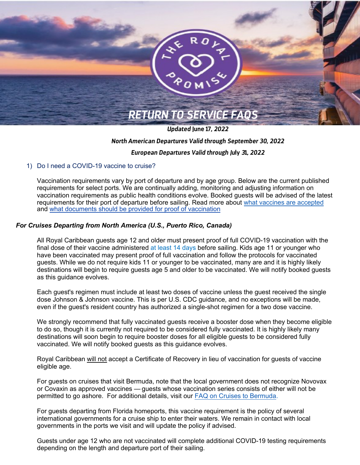

*Updated* **June 17***, 2022*

# *North American Departures Valid through September 30, 2022*

# *European Departures Valid through Ju***ly** *3***1***, 2022*

# 1) Do I need a COVID-19 vaccine to cruise?

Vaccination requirements vary by port of departure and by age group. Below are the current published requirements for select ports. We are continually adding, monitoring and adjusting information on vaccination requirements as public health conditions evolve. Booked guests will be advised of the latest requirements for their port of departure before sailing. Read more about what vaccines [are accepted](https://www.royalcaribbean.com/faq/questions/what-vaccines-are-accepted) and what documents [should be provided for](https://www.royalcaribbean.com/faq/questions/what-documents-are-accepted-as-proof-of-vaccination) proof of vaccination

# *For Cruises Departing from North America (U.S., Puerto Rico, Canada)*

All Royal Caribbean guests age 12 and older must present proof of full COVID-19 vaccination with the final dose of their vaccine administered at least [14 days](https://www.royalcaribbean.com/faq/questions/how-far-in-advance-of-my-cruise-do-i-need-to-be-vaccinated) before sailing. Kids age 11 or younger who have been vaccinated may present proof of full vaccination and follow the protocols for vaccinated guests. While we do not require kids 11 or younger to be vaccinated, many are and it is highly likely destinations will begin to require guests age 5 and older to be vaccinated. We will notify booked guests as this guidance evolves.

Each guest's regimen must include at least two doses of vaccine unless the guest received the single dose Johnson & Johnson vaccine. This is per U.S. CDC guidance, and no exceptions will be made, even if the guest's resident country has authorized a single-shot regimen for a two dose vaccine.

We strongly recommend that fully vaccinated guests receive a booster dose when they become eligible to do so, though it is currently not required to be considered fully vaccinated. It is highly likely many destinations will soon begin to require booster doses for all eligible guests to be considered fully vaccinated. We will notify booked guests as this guidance evolves.

Royal Caribbean will not accept a Certificate of Recovery in lieu of vaccination for guests of vaccine eligible age.

For guests on cruises that visit Bermuda, note that the local government does not recognize Novovax or Covaxin as approved vaccines — guests whose vaccination series consists of either will not be permitted to go ashore. For additional details, visit our [FAQ on Cruises to Bermuda.](https://www.royalcaribbean.com/faq/questions/additional-requirements-to-cruise-to-bermuda)

For guests departing from Florida homeports, this vaccine requirement is the policy of several international governments for a cruise ship to enter their waters. We remain in contact with local governments in the ports we visit and will update the policy if advised.

Guests under age 12 who are not vaccinated will complete additional COVID-19 testing requirements depending on the length and departure port of their sailing.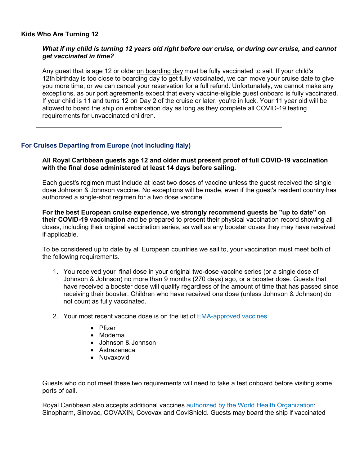# **Kids Who Are Turning 12**

# *What if my child is turning 12 years old right before our cruise, or during our cruise, and cannot get vaccinated in time?*

Any guest that is age 12 or older on boarding day must be fully vaccinated to sail. If your child's 12th birthday is too close to boarding day to get fully vaccinated, we can move your cruise date to give you more time, or we can cancel your reservation for a full refund. Unfortunately, we cannot make any exceptions, as our port agreements expect that every vaccine-eligible guest onboard is fully vaccinated. If your child is 11 and turns 12 on Day 2 of the cruise or later, you're in luck. Your 11 year old will be allowed to board the ship on embarkation day as long as they complete all COVID-19 testing requirements for unvaccinated children.

# **For Cruises Departing from Europe (not including Italy)**

**All Royal Caribbean guests age 12 and older must present proof of full COVID-19 vaccination with the final dose administered at least 14 days before sailing.** 

Each guest's regimen must include at least two doses of vaccine unless the guest received the single dose Johnson & Johnson vaccine. No exceptions will be made, even if the guest's resident country has authorized a single-shot regimen for a two dose vaccine.

**For the best European cruise experience, we strongly recommend guests be "up to date" on their COVID-19 vaccination** and be prepared to present their physical vaccination record showing all doses, including their original vaccination series, as well as any booster doses they may have received if applicable.

To be considered up to date by all European countries we sail to, your vaccination must meet both of the following requirements.

- 1. You received your final dose in your original two-dose vaccine series (or a single dose of Johnson & Johnson) no more than 9 months (270 days) ago, or a booster dose. Guests that have received a booster dose will qualify regardless of the amount of time that has passed since receiving their booster. Children who have received one dose (unless Johnson & Johnson) do not count as fully vaccinated.
- 2. Your most recent vaccine dose is on the list of [EMA-approved vaccines](https://www.ema.europa.eu/en/human-regulatory/overview/public-health-threats/coronavi[%E2%80%A6]ents-vaccines/vaccines-covid-19/covid-19-vaccines-authorised)
	- Pfizer
	- Moderna
	- Johnson & Johnson
	- Astrazeneca
	- Nuvaxovid

Guests who do not meet these two requirements will need to take a test onboard before visiting some ports of call.

Royal Caribbean also accepts additional vaccine[s authorized by the World Health Organization:](https://www.ema.europa.eu/en/human-regulatory/overview/public-health-threats/coronavirus-disease-covid-19/treatments-vaccines/vaccines-covid-19/covid-19-vaccines-authorised)  Sinopharm, Sinovac, COVAXIN, Covovax and CoviShield. Guests may board the ship if vaccinated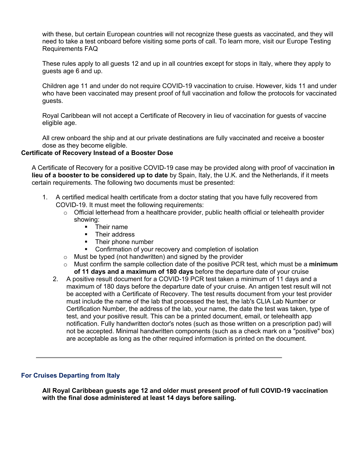with these, but certain European countries will not recognize these guests as vaccinated, and they will need to take a test onboard before visiting some ports of call. To learn more, visit our Europe Testing Requirements FAQ

These rules apply to all guests 12 and up in all countries except for stops in Italy, where they apply to guests age 6 and up.

Children age 11 and under do not require COVID-19 vaccination to cruise. However, kids 11 and under who have been vaccinated may present proof of full vaccination and follow the protocols for vaccinated guests.

Royal Caribbean will not accept a Certificate of Recovery in lieu of vaccination for guests of vaccine eligible age.

All crew onboard the ship and at our private destinations are fully vaccinated and receive a booster dose as they become eligible.

# **Certificate of Recovery Instead of a Booster Dose**

A Certificate of Recovery for a positive COVID-19 case may be provided along with proof of vaccination **in lieu of a booster to be considered up to date** by Spain, Italy, the U.K. and the Netherlands, if it meets certain requirements. The following two documents must be presented:

- 1. A certified medical health certificate from a doctor stating that you have fully recovered from COVID-19. It must meet the following requirements:
	- $\circ$  Official letterhead from a healthcare provider, public health official or telehealth provider showing:
		- § Their name
		- Their address
		- **•** Their phone number
		- Confirmation of your recovery and completion of isolation
	- o Must be typed (not handwritten) and signed by the provider
	- o Must confirm the sample collection date of the positive PCR test, which must be a **minimum of 11 days and a maximum of 180 days** before the departure date of your cruise
	- 2. A positive result document for a COVID-19 PCR test taken a minimum of 11 days and a maximum of 180 days before the departure date of your cruise. An antigen test result will not be accepted with a Certificate of Recovery. The test results document from your test provider must include the name of the lab that processed the test, the lab's CLIA Lab Number or Certification Number, the address of the lab, your name, the date the test was taken, type of test, and your positive result. This can be a printed document, email, or telehealth app notification. Fully handwritten doctor's notes (such as those written on a prescription pad) will not be accepted. Minimal handwritten components (such as a check mark on a "positive" box) are acceptable as long as the other required information is printed on the document.

## **For Cruises Departing from Italy**

**All Royal Caribbean guests age 12 and older must present proof of full COVID-19 vaccination with the final dose administered at least 14 days before sailing.**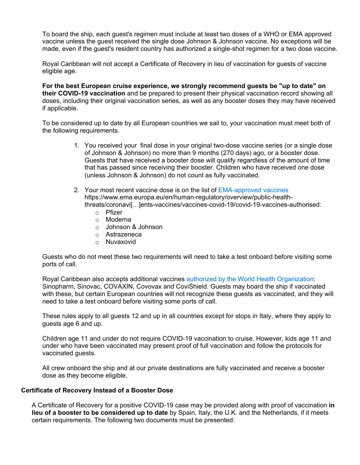To board the ship, each guest's regimen must include at least two doses of a WHO or EMA approved vaccine unless the guest received the single dose Johnson & Johnson vaccine. No exceptions will be made, even if the guest's resident country has authorized a single-shot regimen for a two dose vaccine.

Royal Caribbean will not accept a Certificate of Recovery in lieu of vaccination for guests of vaccine eligible age.

**For the best European cruise experience, we strongly recommend guests be "up to date" on their COVID-19 vaccination** and be prepared to present their physical vaccination record showing all doses, including their original vaccination series, as well as any booster doses they may have received if applicable.

To be considered up to date by all European countries we sail to, your vaccination must meet both of the following requirements.

- 1. You received your final dose in your original two-dose vaccine series (or a single dose of Johnson & Johnson) no more than 9 months (270 days) ago, or a booster dose. Guests that have received a booster dose will qualify regardless of the amount of time that has passed since receiving their booster. Children who have received one dose (unless Johnson & Johnson) do not count as fully vaccinated.
- 2. Your most recent vaccine dose is on the list of EMA-approved vaccines https://www.ema.europa.eu/en/human-regulatory/overview/public-healththreats/coronavi[…]ents-vaccines/vaccines-covid-19/covid-19-vaccines-authorised:
	- o Pfizer
	- o Moderna
	- o Johnson & Johnson
	- o Astrazeneca
	- o Nuvaxovid

Guests who do not meet these two requirements will need to take a test onboard before visiting some ports of call.

Royal Caribbean also accepts additional vaccine[s authorized by the World Health Organization:](https://www.ema.europa.eu/en/human-regulatory/overview/public-health-threats/coronavirus-disease-covid-19/treatments-vaccines/vaccines-covid-19/covid-19-vaccines-authorised)  Sinopharm, Sinovac, COVAXIN, Covovax and CoviShield. Guests may board the ship if vaccinated with these, but certain European countries will not recognize these guests as vaccinated, and they will need to take a test onboard before visiting some ports of call.

These rules apply to all guests 12 and up in all countries except for stops in Italy, where they apply to guests age 6 and up.

Children age 11 and under do not require COVID-19 vaccination to cruise. However, kids age 11 and under who have been vaccinated may present proof of full vaccination and follow the protocols for vaccinated guests.

All crew onboard the ship and at our private destinations are fully vaccinated and receive a booster dose as they become eligible.

## **Certificate of Recovery Instead of a Booster Dose**

A Certificate of Recovery for a positive COVID-19 case may be provided along with proof of vaccination **in lieu of a booster to be considered up to date** by Spain, Italy, the U.K. and the Netherlands, if it meets certain requirements. The following two documents must be presented: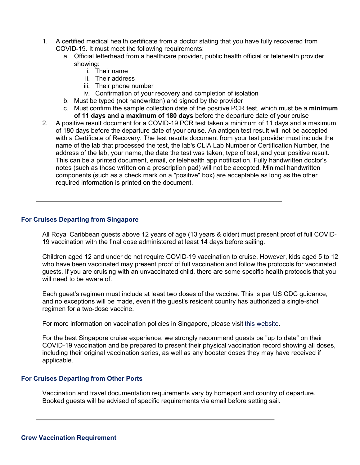- 1. A certified medical health certificate from a doctor stating that you have fully recovered from COVID-19. It must meet the following requirements:
	- a. Official letterhead from a healthcare provider, public health official or telehealth provider showing:
		- i. Their name
		- ii. Their address
		- iii. Their phone number
		- iv. Confirmation of your recovery and completion of isolation
	- b. Must be typed (not handwritten) and signed by the provider
	- c. Must confirm the sample collection date of the positive PCR test, which must be a **minimum of 11 days and a maximum of 180 days** before the departure date of your cruise
- 2. A positive result document for a COVID-19 PCR test taken a minimum of 11 days and a maximum of 180 days before the departure date of your cruise. An antigen test result will not be accepted with a Certificate of Recovery. The test results document from your test provider must include the name of the lab that processed the test, the lab's CLIA Lab Number or Certification Number, the address of the lab, your name, the date the test was taken, type of test, and your positive result. This can be a printed document, email, or telehealth app notification. Fully handwritten doctor's notes (such as those written on a prescription pad) will not be accepted. Minimal handwritten components (such as a check mark on a "positive" box) are acceptable as long as the other required information is printed on the document.

# **For Cruises Departing from Singapore**

All Royal Caribbean guests above 12 years of age (13 years & older) must present proof of full COVID-19 vaccination with the final dose administered at least 14 days before sailing.

Children aged 12 and under do not require COVID-19 vaccination to cruise. However, kids aged 5 to 12 who have been vaccinated may present proof of full vaccination and follow the protocols for vaccinated guests. If you are cruising with an unvaccinated child, there are some specific health protocols that you will need to be aware of.

Each guest's regimen must include at least two doses of the vaccine. This is per US CDC guidance, and no exceptions will be made, even if the guest's resident country has authorized a single-shot regimen for a two-dose vaccine.

For more information on vaccination policies in Singapore, please visit [this website.](https://www.moh.gov.sg/)

For the best Singapore cruise experience, we strongly recommend guests be "up to date" on their COVID-19 vaccination and be prepared to present their physical vaccination record showing all doses, including their original vaccination series, as well as any booster doses they may have received if applicable.

## **For Cruises Departing from Other Ports**

Vaccination and travel documentation requirements vary by homeport and country of departure. Booked guests will be advised of specific requirements via email before setting sail.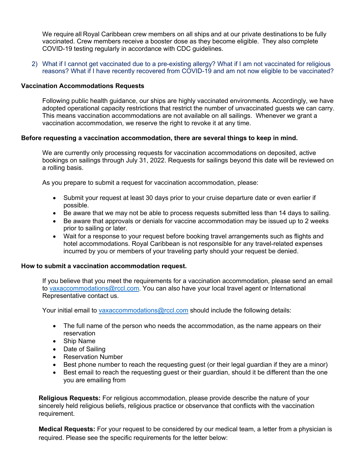We require all Royal Caribbean crew members on all ships and at our private destinations to be fully vaccinated. Crew members receive a booster dose as they become eligible.  They also complete COVID-19 testing regularly in accordance with CDC guidelines.

2) What if I cannot get vaccinated due to a pre-existing allergy? What if I am not vaccinated for religious reasons? What if I have recently recovered from COVID-19 and am not now eligible to be vaccinated?

# **Vaccination Accommodations Requests**

Following public health guidance, our ships are highly vaccinated environments. Accordingly, we have adopted operational capacity restrictions that restrict the number of unvaccinated guests we can carry. This means vaccination accommodations are not available on all sailings. Whenever we grant a vaccination accommodation, we reserve the right to revoke it at any time.

# **Before requesting a vaccination accommodation, there are several things to keep in mind.**

We are currently only processing requests for vaccination accommodations on deposited, active bookings on sailings through July 31, 2022. Requests for sailings beyond this date will be reviewed on a rolling basis.

As you prepare to submit a request for vaccination accommodation, please:

- Submit your request at least 30 days prior to your cruise departure date or even earlier if possible.
- Be aware that we may not be able to process requests submitted less than 14 days to sailing.
- Be aware that approvals or denials for vaccine accommodation may be issued up to 2 weeks prior to sailing or later.
- Wait for a response to your request before booking travel arrangements such as flights and hotel accommodations. Royal Caribbean is not responsible for any travel-related expenses incurred by you or members of your traveling party should your request be denied.

## **How to submit a vaccination accommodation request.**

If you believe that you meet the requirements for a vaccination accommodation, please send an email to vaxaccommodations@rccl.com. You can also have your local travel agent or International Representative contact us.

Your initial email to vaxaccommodations@rccl.com should include the following details:

- The full name of the person who needs the accommodation, as the name appears on their reservation
- Ship Name
- Date of Sailing
- Reservation Number
- Best phone number to reach the requesting guest (or their legal guardian if they are a minor)
- Best email to reach the requesting guest or their guardian, should it be different than the one you are emailing from

**Religious Requests:** For religious accommodation, please provide describe the nature of your sincerely held religious beliefs, religious practice or observance that conflicts with the vaccination requirement.

**Medical Requests:** For your request to be considered by our medical team, a letter from a physician is required. Please see the specific requirements for the letter below: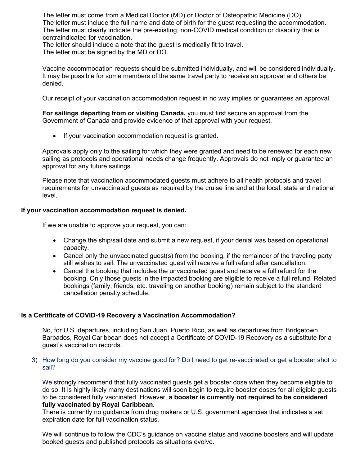The letter must come from a Medical Doctor (MD) or Doctor of Osteopathic Medicine (DO). The letter must include the full name and date of birth for the guest requesting the accommodation. The letter must clearly indicate the pre-existing, non-COVID medical condition or disability that is contraindicated for vaccination.

The letter should include a note that the guest is medically fit to travel. The letter must be signed by the MD or DO.

Vaccine accommodation requests should be submitted individually, and will be considered individually. It may be possible for some members of the same travel party to receive an approval and others be denied.

Our receipt of your vaccination accommodation request in no way implies or guarantees an approval.

**For sailings departing from or visiting Canada,** you must first secure an approval from the Government of Canada and provide evidence of that approval with your request.

• If your vaccination accommodation request is granted.

Approvals apply only to the sailing for which they were granted and need to be renewed for each new sailing as protocols and operational needs change frequently. Approvals do not imply or guarantee an approval for any future sailings.

Please note that vaccination accommodated guests must adhere to all health protocols and travel requirements for unvaccinated guests as required by the cruise line and at the local, state and national level.

# **If your vaccination accommodation request is denied.**

If we are unable to approve your request, you can:

- Change the ship/sail date and submit a new request, if your denial was based on operational capacity.
- Cancel only the unvaccinated quest(s) from the booking, if the remainder of the traveling party still wishes to sail. The unvaccinated guest will receive a full refund after cancellation.
- Cancel the booking that includes the unvaccinated guest and receive a full refund for the booking. Only those guests in the impacted booking are eligible to receive a full refund. Related bookings (family, friends, etc. traveling on another booking) remain subject to the standard cancellation penalty schedule.

# **Is a Certificate of COVID-19 Recovery a Vaccination Accommodation?**

No, for U.S. departures, including San Juan, Puerto Rico, as well as departures from Bridgetown, Barbados, Royal Caribbean does not accept a Certificate of COVID-19 Recovery as a substitute for a guest's vaccination records.

3) How long do you consider my vaccine good for? Do I need to get re-vaccinated or get a booster shot to sail?

We strongly recommend that fully vaccinated guests get a booster dose when they become eligible to do so. It is highly likely many destinations will soon begin to require booster doses for all eligible guests to be considered fully vaccinated. However, **a booster is currently not required to be considered fully vaccinated by Royal Caribbean.**

There is currently no guidance from drug makers or U.S. government agencies that indicates a set expiration date for full vaccination status.

We will continue to follow the CDC's guidance on vaccine status and vaccine boosters and will update booked guests and published protocols as situations evolve.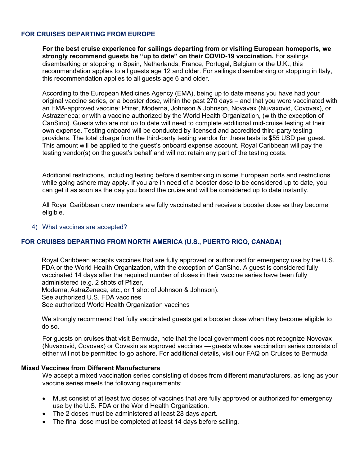# **FOR CRUISES DEPARTING FROM EUROPE**

**For the best cruise experience for sailings departing from or visiting European homeports, we strongly recommend guests be "up to date" on their COVID-19 vaccination.** For sailings disembarking or stopping in Spain, Netherlands, France, Portugal, Belgium or the U.K., this recommendation applies to all guests age 12 and older. For sailings disembarking or stopping in Italy, this recommendation applies to all guests age 6 and older.

According to the European Medicines Agency (EMA), being up to date means you have had your original vaccine series, or a booster dose, within the past 270 days – and that you were vaccinated with an EMA-approved vaccine: Pfizer, Moderna, Johnson & Johnson, Novavax (Nuvaxovid, Covovax), or Astrazeneca; or with a vaccine authorized by the World Health Organization, (with the exception of CanSino). Guests who are not up to date will need to complete additional mid-cruise testing at their own expense. Testing onboard will be conducted by licensed and accredited third-party testing providers. The total charge from the third-party testing vendor for these tests is \$55 USD per guest. This amount will be applied to the guest's onboard expense account. Royal Caribbean will pay the testing vendor(s) on the guest's behalf and will not retain any part of the testing costs.

Additional restrictions, including testing before disembarking in some European ports and restrictions while going ashore may apply. If you are in need of a booster dose to be considered up to date, you can get it as soon as the day you board the cruise and will be considered up to date instantly.

All Royal Caribbean crew members are fully vaccinated and receive a booster dose as they become eligible.

#### 4) What vaccines are accepted?

# **FOR CRUISES DEPARTING FROM NORTH AMERICA (U.S., PUERTO RICO, CANADA)**

Royal Caribbean accepts vaccines that are fully approved or authorized for emergency use by the U.S. FDA or the World Health Organization, with the exception of CanSino. A guest is considered fully vaccinated 14 days after the required number of doses in their vaccine series have been fully administered (e.g. 2 shots of Pfizer,

Moderna, AstraZeneca, etc., or 1 shot of Johnson & Johnson). See authorized U.S. FDA vaccines

See authorized World Health Organization vaccines

We strongly recommend that fully vaccinated guests get a booster dose when they become eligible to do so.

For guests on cruises that visit Bermuda, note that the local government does not recognize Novovax (Nuvaxovid, Covovax) or Covaxin as approved vaccines — guests whose vaccination series consists of either will not be permitted to go ashore. For additional details, visit our FAQ on Cruises to Bermuda

#### **Mixed Vaccines from Different Manufacturers**

We accept a mixed vaccination series consisting of doses from different manufacturers, as long as your vaccine series meets the following requirements:

- Must consist of at least two doses of vaccines that are fully approved or authorized for emergency use by the U.S. FDA or the World Health Organization.
- The 2 doses must be administered at least 28 days apart.
- The final dose must be completed at least 14 days before sailing.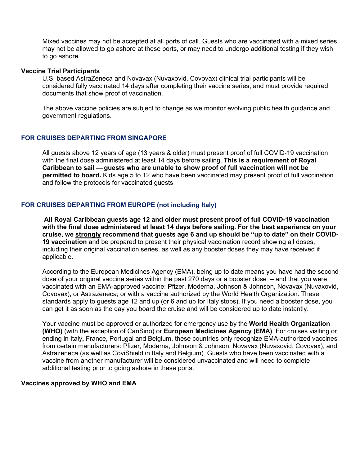Mixed vaccines may not be accepted at all ports of call. Guests who are vaccinated with a mixed series may not be allowed to go ashore at these ports, or may need to undergo additional testing if they wish to go ashore.

### **Vaccine Trial Participants**

U.S. based AstraZeneca and Novavax (Nuvaxovid, Covovax) clinical trial participants will be considered fully vaccinated 14 days after completing their vaccine series, and must provide required documents that show proof of vaccination.

The above vaccine policies are subject to change as we monitor evolving public health guidance and government regulations.

## **FOR CRUISES DEPARTING FROM SINGAPORE**

All guests above 12 years of age (13 years & older) must present proof of full COVID-19 vaccination with the final dose administered at least 14 days before sailing. **This is a requirement of Royal Caribbean to sail — guests who are unable to show proof of full vaccination will not be permitted to board.** Kids age 5 to 12 who have been vaccinated may present proof of full vaccination and follow the protocols for vaccinated guests

# **FOR CRUISES DEPARTING FROM EUROPE (not including Italy)**

**All Royal Caribbean guests age 12 and older must present proof of full COVID-19 vaccination with the final dose administered at least 14 days before sailing. For the best experience on your cruise, we strongly recommend that guests age 6 and up should be "up to date" on their COVID-19 vaccination** and be prepared to present their physical vaccination record showing all doses, including their original vaccination series, as well as any booster doses they may have received if applicable.

According to the European Medicines Agency (EMA), being up to date means you have had the second dose of your original vaccine series within the past 270 days or a booster dose – and that you were vaccinated with an EMA-approved vaccine: Pfizer, Moderna, Johnson & Johnson, Novavax (Nuvaxovid, Covovax), or Astrazeneca; or with a vaccine authorized by the World Health Organization. These standards apply to guests age 12 and up (or 6 and up for Italy stops). If you need a booster dose, you can get it as soon as the day you board the cruise and will be considered up to date instantly.

Your vaccine must be approved or authorized for emergency use by the **World Health Organization (WHO)** (with the exception of CanSino) or **European Medicines Agency (EMA)**. For cruises visiting or ending in Italy**,** France, Portugal and Belgium, these countries only recognize EMA-authorized vaccines from certain manufacturers: Pfizer, Moderna, Johnson & Johnson, Novavax (Nuvaxovid, Covovax), and Astrazeneca (as well as CoviShield in Italy and Belgium). Guests who have been vaccinated with a vaccine from another manufacturer will be considered unvaccinated and will need to complete additional testing prior to going ashore in these ports.

#### **Vaccines approved by WHO and EMA**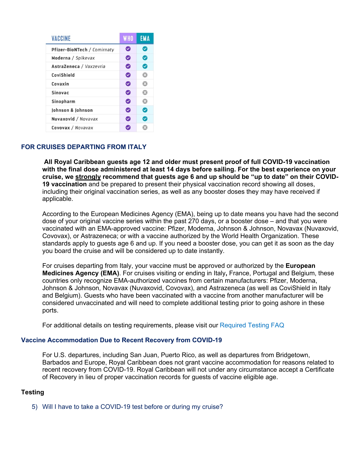| <b>VACCINE</b>              | <b>WHO</b>   | <b>EMA</b> |
|-----------------------------|--------------|------------|
| Pfizer-BioNTech / Comirnaty | ◙            | Ø          |
| Moderna / Spikevax          | ◙            | ⊗          |
| AstraZeneca / Vaxzevria     | ◙            | ◙          |
| CoviShield                  | Ø            | ය          |
| Covaxin                     | Ø            | ශ          |
| <b>Sinovac</b>              | ◙            | ය          |
| <b>Sinopharm</b>            | ◙            | ය          |
| Johnson & Johnson           | ⊘            | Ø          |
| Nuvaxovid / Novavax         | ☑            | Ø          |
| Covovax / Novavax           | $\checkmark$ |            |

# **FOR CRUISES DEPARTING FROM ITALY**

**All Royal Caribbean guests age 12 and older must present proof of full COVID-19 vaccination with the final dose administered at least 14 days before sailing. For the best experience on your cruise, we strongly recommend that guests age 6 and up should be "up to date" on their COVID-19 vaccination** and be prepared to present their physical vaccination record showing all doses, including their original vaccination series, as well as any booster doses they may have received if applicable.

According to the European Medicines Agency (EMA), being up to date means you have had the second dose of your original vaccine series within the past 270 days, or a booster dose – and that you were vaccinated with an EMA-approved vaccine: Pfizer, Moderna, Johnson & Johnson, Novavax (Nuvaxovid, Covovax), or Astrazeneca; or with a vaccine authorized by the World Health Organization. These standards apply to guests age 6 and up. If you need a booster dose, you can get it as soon as the day you board the cruise and will be considered up to date instantly.

For cruises departing from Italy, your vaccine must be approved or authorized by the **European Medicines Agency (EMA)**. For cruises visiting or ending in Italy**,** France, Portugal and Belgium, these countries only recognize EMA-authorized vaccines from certain manufacturers: Pfizer, Moderna, Johnson & Johnson, Novavax (Nuvaxovid, Covovax), and Astrazeneca (as well as CoviShield in Italy and Belgium). Guests who have been vaccinated with a vaccine from another manufacturer will be considered unvaccinated and will need to complete additional testing prior to going ashore in these ports.

For additional details on testing requirements, please visit our Required Testing FAQ

## **Vaccine Accommodation Due to Recent Recovery from COVID-19**

For U.S. departures, including San Juan, Puerto Rico, as well as departures from Bridgetown, Barbados and Europe, Royal Caribbean does not grant vaccine accommodation for reasons related to recent recovery from COVID-19. Royal Caribbean will not under any circumstance accept a Certificate of Recovery in lieu of proper vaccination records for guests of vaccine eligible age.

# **Testing**

5) Will I have to take a COVID-19 test before or during my cruise?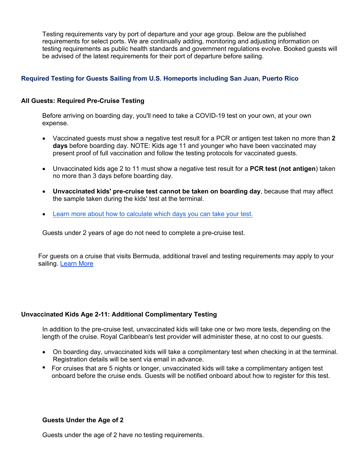Testing requirements vary by port of departure and your age group. Below are the published requirements for select ports. We are continually adding, monitoring and adjusting information on testing requirements as public health standards and government regulations evolve. Booked guests will be advised of the latest requirements for their port of departure before sailing.

# **Required Testing for Guests Sailing from U.S. Homeports including San Juan, Puerto Rico**

## **All Guests: Required Pre-Cruise Testing**

Before arriving on boarding day, you'll need to take a COVID-19 test on your own, at your own expense.

- Vaccinated guests must show a negative test result for a PCR or antigen test taken no more than **2 days** before boarding day. NOTE: Kids age 11 and younger who have been vaccinated may present proof of full vaccination and follow the testing protocols for vaccinated guests.
- Unvaccinated kids age 2 to 11 must show a negative test result for a **PCR test (not antigen**) taken no more than 3 days before boarding day.
- **Unvaccinated kids' pre-cruise test cannot be taken on boarding day**, because that may affect the sample taken during the kids' test at the terminal.
- [Learn more about how to calculate which days you can take your test.](https://www.royalcaribbean.com/faq/questions/how-do-i-figure-out-when-to-get-pre-cruise-covid-19-test)

Guests under 2 years of age do not need to complete a pre-cruise test.

For guests on a cruise that visits Bermuda, additional travel and testing requirements may apply to your sailing. Learn More

## **Unvaccinated Kids Age 2-11: Additional Complimentary Testing**

In addition to the pre-cruise test, unvaccinated kids will take one or two more tests, depending on the length of the cruise. Royal Caribbean's test provider will administer these, at no cost to our guests.

- On boarding day, unvaccinated kids will take a complimentary test when checking in at the terminal. Registration details will be sent via email in advance.
- For cruises that are 5 nights or longer, unvaccinated kids will take a complimentary antigen test onboard before the cruise ends. Guests will be notified onboard about how to register for this test.

## **Guests Under the Age of 2**

Guests under the age of 2 have no testing requirements.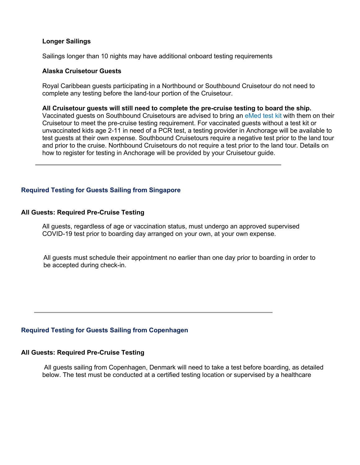## **Longer Sailings**

Sailings longer than 10 nights may have additional onboard testing requirements

## **Alaska Cruisetour Guests**

Royal Caribbean guests participating in a Northbound or Southbound Cruisetour do not need to complete any testing before the land-tour portion of the Cruisetour.

#### **All Cruisetour guests will still need to complete the pre-cruise testing to board the ship.**

Vaccinated guests on Southbound Cruisetours are advised to bring an eMed test kit with them on their Cruisetour to meet the pre-cruise testing requirement. For vaccinated guests without a test kit or unvaccinated kids age 2-11 in need of a PCR test, a testing provider in Anchorage will be available to test guests at their own expense. Southbound Cruisetours require a negative test prior to the land tour and prior to the cruise. Northbound Cruisetours do not require a test prior to the land tour. Details on how to register for testing in Anchorage will be provided by your Cruisetour guide.

# **Required Testing for Guests Sailing from Singapore**

#### **All Guests: Required Pre-Cruise Testing**

All guests, regardless of age or vaccination status, must undergo an approved supervised COVID-19 test prior to boarding day arranged on your own, at your own expense.

All guests must schedule their appointment no earlier than one day prior to boarding in order to be [accepted](link: https://www.fullertonhealth.com/sg/covid-19-art-and-pcr-test/) during check-in.

## **Required Testing for Guests Sailing from Copenhagen**

### **All Guests: Required Pre-Cruise Testing**

All guests sailing from Copenhagen, Denmark will need to take a test before boarding, as detailed below. The test must be conducted at a certified testing location or supervised by a healthcare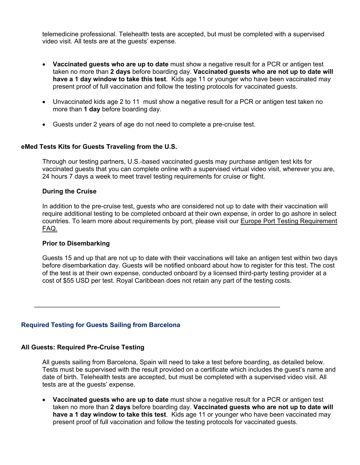telemedicine professional. Telehealth tests are accepted, but must be completed with a supervised video visit. All tests are at the guests' expense.

- **Vaccinated guests who are up to date** must show a negative result for a PCR or antigen test taken no more than **2 days** before boarding day. **Vaccinated guests who are not up to date will have a 1 day window to take this test**. Kids age 11 or younger who have been vaccinated may present proof of full vaccination and follow the testing protocols for vaccinated guests.
- Unvaccinated kids age 2 to 11 must show a negative result for a PCR or antigen test taken no more than **1 day** before boarding day.
- Guests under 2 years of age do not need to complete a pre-cruise test.

# **eMed Tests Kits for Guests Traveling from the U.S.**

Through our testing partners, U.S.-based vaccinated guests may purchase antigen test kits for vaccinated guests that you can complete online with a supervised virtual video visit, wherever you are, 24 hours 7 days a week to meet travel testing requirements for cruise or flight.

## **During the Cruise**

In addition to the pre-cruise test, guests who are considered not up to date with their vaccination will require additional testing to be completed onboard at their own expense, in order to go ashore in select countries. To learn more about requirements by port, please visit our [Europe Port Testing Requirement](https://www.royalcaribbean.com/faq/questions/if-i-am-not-up-to-date-on-vaccinations-in-europe-where-will-i-need-additional-testing)  FAQ.

## **Prior to Disembarking**

Guests 15 and up that are not up to date with their vaccinations will take an antigen test within two days before disembarkation day. Guests will be notified onboard about how to register for this test. The cost of the test is at their own expense, conducted onboard by a licensed third-party testing provider at a cost of \$55 USD per test. Royal Caribbean does not retain any part of the testing costs.

## **Required Testing for Guests Sailing from Barcelona**

## **All Guests: Required Pre-Cruise Testing**

All guests sailing from Barcelona, Spain will need to take a test before boarding, as detailed below. Tests must be supervised with the result provided on a certificate which includes the guest's name and date of birth. Telehealth tests are accepted, but must be completed with a supervised video visit. All tests are at the guests' expense.

• **Vaccinated guests who are up to date** must show a negative result for a PCR or antigen test taken no more than **2 days** before boarding day. **Vaccinated guests who are not up to date will have a 1 day window to take this test**. Kids age 11 or younger who have been vaccinated may present proof of full vaccination and follow the testing protocols for vaccinated guests.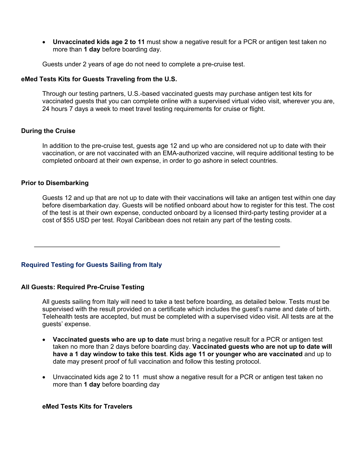• **Unvaccinated kids age 2 to 11** must show a negative result for a PCR or antigen test taken no more than **1 day** before boarding day.

Guests under 2 years of age do not need to complete a pre-cruise test.

# **eMed Tests Kits for Guests Traveling from the U.S.**

Through our testing partners, U.S.-based vaccinated guests may purchase antigen test kits for vaccinated guests that you can complete online with a supervised virtual video visit, wherever you are, 24 hours 7 days a week to meet travel testing requirements for cruise or flight.

# **During the Cruise**

In addition to the pre-cruise test, guests age 12 and up who are considered not up to date with their vaccination, or are not vaccinated with an EMA-authorized vaccine, will require additional testing to be completed onboard at their own expense, in order to go ashore in select countries.

# **Prior to Disembarking**

Guests 12 and up that are not up to date with their vaccinations will take an antigen test within one day before disembarkation day. Guests will be notified onboard about how to register for this test. The cost of the test is at their own expense, conducted onboard by a licensed third-party testing provider at a cost of \$55 USD per test. Royal Caribbean does not retain any part of the testing costs.

# **Required Testing for Guests Sailing from Italy**

## **All Guests: Required Pre-Cruise Testing**

All guests sailing from Italy will need to take a test before boarding, as detailed below. Tests must be supervised with the result provided on a certificate which includes the guest's name and date of birth. Telehealth tests are accepted, but must be completed with a supervised video visit. All tests are at the guests' expense.

- **Vaccinated guests who are up to date** must bring a negative result for a PCR or antigen test taken no more than 2 days before boarding day. **Vaccinated guests who are not up to date will have a 1 day window to take this test**. **Kids age 11 or younger who are vaccinated** and up to date may present proof of full vaccination and follow this testing protocol.
- Unvaccinated kids age 2 to 11 must show a negative result for a PCR or antigen test taken no more than **1 day** before boarding day

# **eMed Tests Kits for Travelers**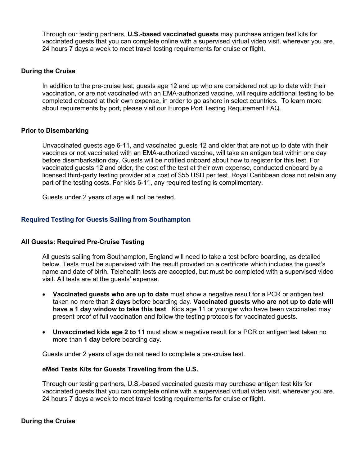Through our testing partners, **U.S.-based vaccinated guests** may purchase antigen test kits for vaccinated guests that you can complete online with a supervised virtual video visit, wherever you are, 24 hours 7 days a week to meet travel testing requirements for cruise or flight.

# **During the Cruise**

In addition to the pre-cruise test, guests age 12 and up who are considered not up to date with their vaccination, or are not vaccinated with an EMA-authorized vaccine, will require additional testing to be completed onboard at their own expense, in order to go ashore in select countries. To learn more about requirements by port, please visit our Europe Port Testing Requirement FAQ.

# **Prior to Disembarking**

Unvaccinated guests age 6-11, and vaccinated guests 12 and older that are not up to date with their vaccines or not vaccinated with an EMA-authorized vaccine, will take an antigen test within one day before disembarkation day. Guests will be notified onboard about how to register for this test. For vaccinated guests 12 and older, the cost of the test at their own expense, conducted onboard by a licensed third-party testing provider at a cost of \$55 USD per test. Royal Caribbean does not retain any part of the testing costs. For kids 6-11, any required testing is complimentary.

Guests under 2 years of age will not be tested.

# **Required Testing for Guests Sailing from Southampton**

## **All Guests: Required Pre-Cruise Testing**

All guests sailing from Southampton, England will need to take a test before boarding, as detailed below. Tests must be supervised with the result provided on a certificate which includes the guest's name and date of birth. Telehealth tests are accepted, but must be completed with a supervised video visit. All tests are at the guests' expense.

- **Vaccinated guests who are up to date** must show a negative result for a PCR or antigen test taken no more than **2 days** before boarding day. **Vaccinated guests who are not up to date will have a 1 day window to take this test**. Kids age 11 or younger who have been vaccinated may present proof of full vaccination and follow the testing protocols for vaccinated guests.
- **Unvaccinated kids age 2 to 11** must show a negative result for a PCR or antigen test taken no more than **1 day** before boarding day.

Guests under 2 years of age do not need to complete a pre-cruise test.

## **eMed Tests Kits for Guests Traveling from the U.S.**

Through our testing partners, U.S.-based vaccinated guests may purchase antigen test kits for vaccinated guests that you can complete online with a supervised virtual video visit, wherever you are, 24 hours 7 days a week to meet travel testing requirements for cruise or flight.

## **During the Cruise**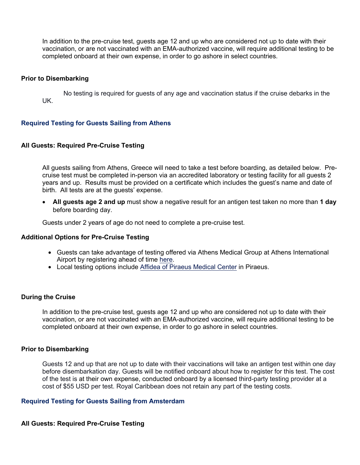In addition to the pre-cruise test, guests age 12 and up who are considered not up to date with their vaccination, or are not vaccinated with an EMA-authorized vaccine, will require additional testing to be completed onboard at their own expense, in order to go ashore in select countries.

## **Prior to Disembarking**

No testing is required for guests of any age and vaccination status if the cruise debarks in the UK.

# **Required Testing for Guests Sailing from Athens**

# **All Guests: Required Pre-Cruise Testing**

All guests sailing from Athens, Greece will need to take a test before boarding, as detailed below. Precruise test must be completed in-person via an accredited laboratory or testing facility for all guests 2 years and up. Results must be provided on a certificate which includes the guest's name and date of birth. All tests are at the guests' expense.

• **All guests age 2 and up** must show a negative result for an antigen test taken no more than **1 day** before boarding day.

Guests under 2 years of age do not need to complete a pre-cruise test.

## **Additional Options for Pre-Cruise Testing**

- Guests can take advantage of testi[ng offe](https://athensmedicalgroup.com/)red via Athens Medical Group at Athens International Airport by registering ahead of time here.
- Local testing options includ[e Affidea of Piraeus Medical Center in](https://doctornearyou.gr/) Piraeus.

# **During the Cruise**

In addition to the pre-cruise test, guests age 12 and up who are considered not up to date with their vaccination, or are not vaccinated with an EMA-authorized vaccine, will require additional testing to be completed onboard at their own expense, in order to go ashore in select countries.

## **Prior to Disembarking**

Guests 12 and up that are not up to date with their vaccinations will take an antigen test within one day before disembarkation day. Guests will be notified onboard about how to register for this test. The cost of the test is at their own expense, conducted onboard by a licensed third-party testing provider at a cost of \$55 USD per test. Royal Caribbean does not retain any part of the testing costs.

## **Required Testing for Guests Sailing from Amsterdam**

# **All Guests: Required Pre-Cruise Testing**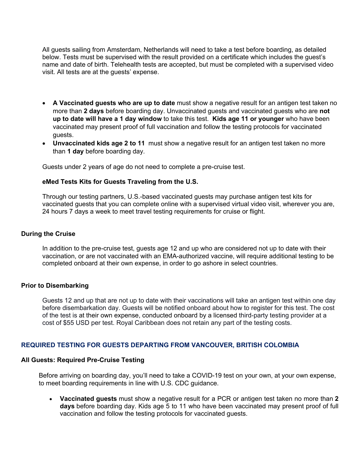All guests sailing from Amsterdam, Netherlands will need to take a test before boarding, as detailed below. Tests must be supervised with the result provided on a certificate which includes the guest's name and date of birth. Telehealth tests are accepted, but must be completed with a supervised video visit. All tests are at the guests' expense.

- **A Vaccinated guests who are up to date** must show a negative result for an antigen test taken no more than **2 days** before boarding day. Unvaccinated guests and vaccinated guests who are **not up to date will have a 1 day window** to take this test. **Kids age 11 or younger** who have been vaccinated may present proof of full vaccination and follow the testing protocols for vaccinated guests.
- **Unvaccinated kids age 2 to 11** must show a negative result for an antigen test taken no more than **1 day** before boarding day.

Guests under 2 years of age do not need to complete a pre-cruise test.

# **eMed Tests Kits for Guests Traveling from the U.S.**

Through our testing partners, U.S.-based vaccinated guests may purchase antigen test kits for vaccinated guests that you can complete online with a supervised virtual video visit, wherever you are, 24 hours 7 days a week to meet travel testing requirements for cruise or flight.

## **During the Cruise**

In addition to the pre-cruise test, guests age 12 and up who are considered not up to date with their vaccination, or are not vaccinated with an EMA-authorized vaccine, will require additional testing to be completed onboard at their own expense, in order to go ashore in select countries.

## **Prior to Disembarking**

Guests 12 and up that are not up to date with their vaccinations will take an antigen test within one day before disembarkation day. Guests will be notified onboard about how to register for this test. The cost of the test is at their own expense, conducted onboard by a licensed third-party testing provider at a cost of \$55 USD per test. Royal Caribbean does not retain any part of the testing costs.

## **REQUIRED TESTING FOR GUESTS DEPARTING FROM VANCOUVER, BRITISH COLOMBIA**

## **All Guests: Required Pre-Cruise Testing**

Before arriving on boarding day, you'll need to take a COVID-19 test on your own, at your own expense, to meet boarding requirements in line with U.S. CDC guidance.

• **Vaccinated guests** must show a negative result for a PCR or antigen test taken no more than **2 days** before boarding day. Kids age 5 to 11 who have been vaccinated may present proof of full vaccination and follow the testing protocols for vaccinated guests.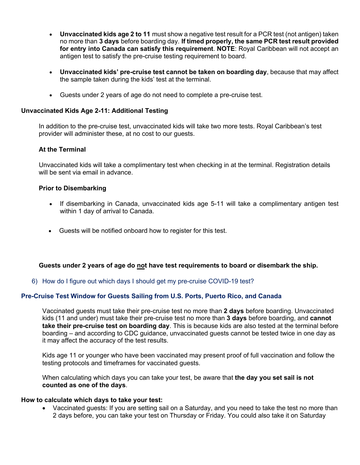- **Unvaccinated kids age 2 to 11** must show a negative test result for a PCR test (not antigen) taken no more than **3 days** before boarding day. **If timed properly, the same PCR test result provided for entry into Canada can satisfy this requirement**. **NOTE**: Royal Caribbean will not accept an antigen test to satisfy the pre-cruise testing requirement to board.
- **Unvaccinated kids' pre-cruise test cannot be taken on boarding day**, because that may affect the sample taken during the kids' test at the terminal.
- Guests under 2 years of age do not need to complete a pre-cruise test.

# **Unvaccinated Kids Age 2-11: Additional Testing**

In addition to the pre-cruise test, unvaccinated kids will take two more tests. Royal Caribbean's test provider will administer these, at no cost to our guests.

# **At the Terminal**

Unvaccinated kids will take a complimentary test when checking in at the terminal. Registration details will be sent via email in advance.

# **Prior to Disembarking**

- If disembarking in Canada, unvaccinated kids age 5-11 will take a complimentary antigen test within 1 day of arrival to Canada.
- Guests will be notified onboard how to register for this test.

# **Guests under 2 years of age do not have test requirements to board or disembark the ship.**

6) How do I figure out which days I should get my pre-cruise COVID-19 test?

# **Pre-Cruise Test Window for Guests Sailing from U.S. Ports, Puerto Rico, and Canada**

Vaccinated guests must take their pre-cruise test no more than **2 days** before boarding. Unvaccinated kids (11 and under) must take their pre-cruise test no more than **3 days** before boarding, and **cannot take their pre-cruise test on boarding day**. This is because kids are also tested at the terminal before boarding – and according to CDC guidance, unvaccinated guests cannot be tested twice in one day as it may affect the accuracy of the test results.

Kids age 11 or younger who have been vaccinated may present proof of full vaccination and follow the testing protocols and timeframes for vaccinated guests.

When calculating which days you can take your test, be aware that **the day you set sail is not counted as one of the days**.

## **How to calculate which days to take your test:**

• Vaccinated guests: If you are setting sail on a Saturday, and you need to take the test no more than 2 days before, you can take your test on Thursday or Friday. You could also take it on Saturday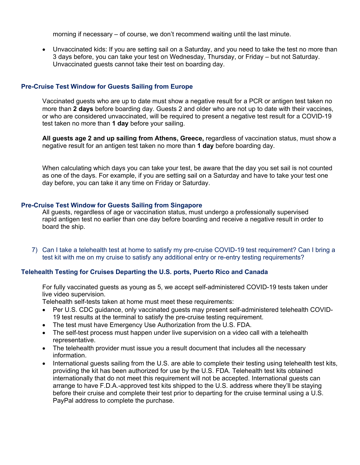morning if necessary – of course, we don't recommend waiting until the last minute.

• Unvaccinated kids: If you are setting sail on a Saturday, and you need to take the test no more than 3 days before, you can take your test on Wednesday, Thursday, or Friday – but not Saturday. Unvaccinated guests cannot take their test on boarding day.

## **Pre-Cruise Test Window for Guests Sailing from Europe**

Vaccinated guests who are up to date must show a negative result for a PCR or antigen test taken no more than **2 days** before boarding day. Guests 2 and older who are not up to date with their vaccines, or who are considered unvaccinated, will be required to present a negative test result for a COVID-19 test taken no more than **1 day** before your sailing.

**All guests age 2 and up sailing from Athens, Greece,** regardless of vaccination status, must show a negative result for an antigen test taken no more than **1 day** before boarding day.

When calculating which days you can take your test, be aware that the day you set sail is not counted as one of the days. For example, if you are setting sail on a Saturday and have to take your test one day before, you can take it any time on Friday or Saturday.

#### **Pre-Cruise Test Window for Guests Sailing from Singapore**

All guests, regardless of age or vaccination status, must undergo a professionally supervised rapid antigen test no earlier than one day before boarding and receive a negative result in order to board the ship.

7) Can I take a telehealth test at home to satisfy my pre-cruise COVID-19 test requirement? Can I bring a test kit with me on my cruise to satisfy any additional entry or re-entry testing requirements?

## **Telehealth Testing for Cruises Departing the U.S. ports, Puerto Rico and Canada**

For fully vaccinated guests as young as 5, we accept self-administered COVID-19 tests taken under live video supervision.

Telehealth self-tests taken at home must meet these requirements:

- Per U.S. CDC guidance, only vaccinated guests may present self-administered telehealth COVID-19 test results at the terminal to satisfy the pre-cruise testing requirement.
- The test must have Emergency Use Authorization from the U.S. FDA.
- The self-test process must happen under live supervision on a video call with a telehealth representative.
- The telehealth provider must issue you a result document that includes all the necessary information.
- International guests sailing from the U.S. are able to complete their testing using telehealth test kits, providing the kit has been authorized for use by the U.S. FDA. Telehealth test kits obtained internationally that do not meet this requirement will not be accepted. International guests can arrange to have F.D.A.-approved test kits shipped to the U.S. address where they'll be staying before their cruise and complete their test prior to departing for the cruise terminal using a U.S. PayPal address to complete the purchase.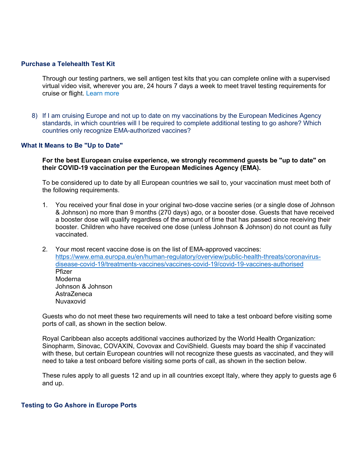#### **Purchase a Telehealth Test Kit**

Through our testing partners, we sell antigen test kits that you can complete online with a supervised virtual video visit, wherever you are, 24 hours 7 days a week to meet travel testing requirements for cruise or flight. Learn more

8) If I am cruising Europe and not up to date on my vaccinations by the European Medicines Agency standards, in which countries will I be required to complete additional testing to go ashore? Which countries only recognize EMA-authorized vaccines?

## **What It Means to Be "Up to Date"**

**For the best European cruise experience, we strongly recommend guests be "up to date" on their COVID-19 vaccination per the European Medicines Agency (EMA).** 

To be considered up to date by all European countries we sail to, your vaccination must meet both of the following requirements.

- 1. You received your final dose in your original two-dose vaccine series (or a single dose of Johnson & Johnson) no more than 9 months (270 days) ago, or a booster dose. Guests that have received a booster dose will qualify regardless of the amount of time that has passed since receiving their booster. Children who have received one dose (unless Johnson & Johnson) do not count as fully vaccinated.
- 2. Your most recent vaccine dose is on the list of EMA-approved vaccines: https://www.ema.europa.eu/en/human-regulatory/overview/public-health-threats/coronavirusdisease-covid-19/treatments-vaccines/vaccines-covid-19/covid-19-vaccines-authorised Pfizer Moderna Johnson & Johnson AstraZeneca Nuvaxovid

Guests who do not meet these two requirements will need to take a test onboard before visiting some ports of call, as shown in the section below.

Royal Caribbean also accepts additional vaccines authorized by the World Health Organization: Sinopharm, Sinovac, COVAXIN, Covovax and CoviShield. Guests may board the ship if vaccinated with these, but certain European countries will not recognize these guests as vaccinated, and they will need to take a test onboard before visiting some ports of call, as shown in the section below.

These rules apply to all guests 12 and up in all countries except Italy, where they apply to guests age 6 and up.

#### **Testing to Go Ashore in Europe Ports**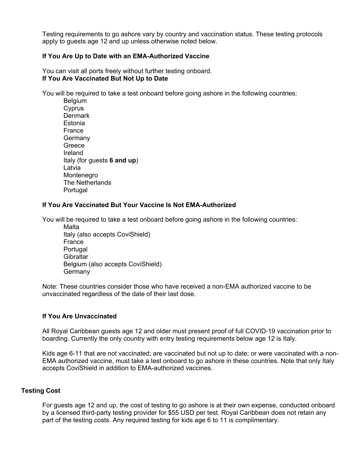Testing requirements to go ashore vary by country and vaccination status. These testing protocols apply to guests age 12 and up unless otherwise noted below.

# **If You Are Up to Date with an EMA-Authorized Vaccine**

You can visit all ports freely without further testing onboard. **If You Are Vaccinated But Not Up to Date**

You will be required to take a test onboard before going ashore in the following countries:

**Belgium Cyprus Denmark** Estonia France **Germany Greece** Ireland Italy (for guests **6 and up**) Latvia Montenegro The Netherlands Portugal

# **If You Are Vaccinated But Your Vaccine Is Not EMA-Authorized**

You will be required to take a test onboard before going ashore in the following countries:

**Malta** Italy (also accepts CoviShield) France Portugal **Gibraltar** Belgium (also accepts CoviShield) **Germany** 

Note: These countries consider those who have received a non-EMA authorized vaccine to be unvaccinated regardless of the date of their last dose.

## **If You Are Unvaccinated**

All Royal Caribbean guests age 12 and older must present proof of full COVID-19 vaccination prior to boarding. Currently the only country with entry testing requirements below age 12 is Italy.

Kids age 6-11 that are not vaccinated; are vaccinated but not up to date; or were vaccinated with a non-EMA authorized vaccine, must take a test onboard to go ashore in these countries. Note that only Italy accepts CoviShield in addition to EMA-authorized vaccines.

## **Testing Cost**

For guests age 12 and up, the cost of testing to go ashore is at their own expense, conducted onboard by a licensed third-party testing provider for \$55 USD per test. Royal Caribbean does not retain any part of the testing costs. Any required testing for kids age 6 to 11 is complimentary.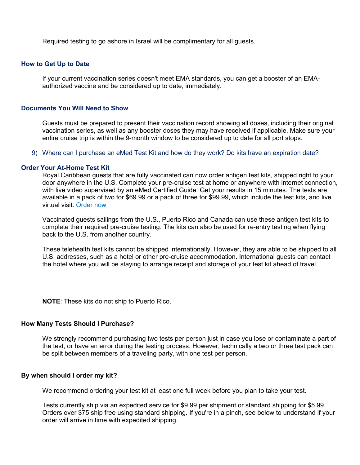Required testing to go ashore in Israel will be complimentary for all guests.

#### **How to Get Up to Date**

If your current vaccination series doesn't meet EMA standards, you can get a booster of an EMAauthorized vaccine and be considered up to date, immediately.

## **Documents You Will Need to Show**

Guests must be prepared to present their vaccination record showing all doses, including their original vaccination series, as well as any booster doses they may have received if applicable. Make sure your entire cruise trip is within the 9-month window to be considered up to date for all port stops.

9) Where can I purchase an eMed Test Kit and how do they work? Do kits have an expiration date?

## **Order Your At-Home Test Kit**

Royal Caribbean guests that are fully vaccinated can now order antigen test kits, shipped right to your door anywhere in the U.S. Complete your pre-cruise test at home or anywhere with internet connection, with live video supervised by an eMed Certified Guide. Get your results in 15 minutes. The tests are available in a pack of two for \$69.99 or a pack of three for \$99.99, which include the test kits, and live virtual visit. Order now

Vaccinated guests sailings from the U.S., Puerto Rico and Canada can use these antigen test kits to complete their required pre-cruise testing. The kits can also be used for re-entry testing when flying back to the U.S. from another country.

These telehealth test kits cannot be shipped internationally. However, they are able to be shipped to all U.S. addresses, such as a hotel or other pre-cruise accommodation. International guests can contact the hotel where you will be staying to arrange receipt and storage of your test kit ahead of travel.

**NOTE**: These kits do not ship to Puerto Rico.

### **How Many Tests Should I Purchase?**

We strongly recommend purchasing two tests per person just in case you lose or contaminate a part of the test, or have an error during the testing process. However, technically a two or three test pack can be split between members of a traveling party, with one test per person.

## **By when should I order my kit?**

We recommend ordering your test kit at least one full week before you plan to take your test.

Tests currently ship via an expedited service for \$9.99 per shipment or standard shipping for \$5.99. Orders over \$75 ship free using standard shipping. If you're in a pinch, see below to understand if your order will arrive in time with expedited shipping.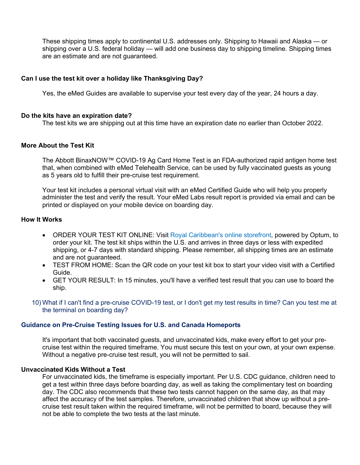These shipping times apply to continental U.S. addresses only. Shipping to Hawaii and Alaska — or shipping over a U.S. federal holiday — will add one business day to shipping timeline. Shipping times are an estimate and are not guaranteed.

# **Can I use the test kit over a holiday like Thanksgiving Day?**

Yes, the eMed Guides are available to supervise your test every day of the year, 24 hours a day.

## **Do the kits have an expiration date?**

The test kits we are shipping out at this time have an expiration date no earlier than October 2022.

# **More About the Test Kit**

The Abbott BinaxNOW™ COVID-19 Ag Card Home Test is an FDA-authorized rapid antigen home test that, when combined with eMed Telehealth Service, can be used by fully vaccinated guests as young as 5 years old to fulfill their pre-cruise test requirement.

Your test kit includes a personal virtual visit with an eMed Certified Guide who will help you properly administer the test and verify the result. Your eMed Labs result report is provided via email and can be printed or displayed on your mobile device on boarding day.

# **How It Works**

- ORDER YOUR TEST KIT ONLINE: Visit Royal Caribbean's online storefront, powered by Optum, to order your kit. The test kit ships within the U.S. and arrives in three days or less with expedited shipping, or 4-7 days with standard shipping. Please remember, all shipping times are an estimate and are not guaranteed.
- TEST FROM HOME: Scan the QR code on your test kit box to start your video visit with a Certified Guide.
- GET YOUR RESULT: In 15 minutes, you'll have a verified test result that you can use to board the ship.
- 10) What if I can't find a pre-cruise COVID-19 test, or I don't get my test results in time? Can you test me at the terminal on boarding day?

#### **Guidance on Pre-Cruise Testing Issues for U.S. and Canada Homeports**

It's important that both vaccinated guests, and unvaccinated kids, make every effort to get your precruise test within the required timeframe. You must secure this test on your own, at your own expense. Without a negative pre-cruise test result, you will not be permitted to sail.

## **Unvaccinated Kids Without a Test**

For unvaccinated kids, the timeframe is especially important. Per U.S. CDC guidance, children need to get a test within three days before boarding day, as well as taking the complimentary test on boarding day. The CDC also recommends that these two tests cannot happen on the same day, as that may affect the accuracy of the test samples. Therefore, unvaccinated children that show up without a precruise test result taken within the required timeframe, will not be permitted to board, because they will not be able to complete the two tests at the last minute.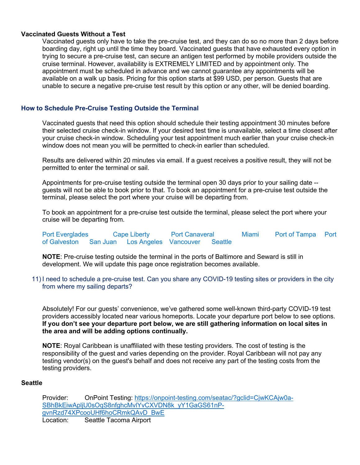# **Vaccinated Guests Without a Test**

Vaccinated guests only have to take the pre-cruise test, and they can do so no more than 2 days before boarding day, right up until the time they board. Vaccinated guests that have exhausted every option in trying to secure a pre-cruise test, can secure an antigen test performed by mobile providers outside the cruise terminal. However, availability is EXTREMELY LIMITED and by appointment only. The appointment must be scheduled in advance and we cannot guarantee any appointments will be available on a walk up basis. Pricing for this option starts at \$99 USD, per person. Guests that are unable to secure a negative pre-cruise test result by this option or any other, will be denied boarding.

# **How to Schedule Pre-Cruise Testing Outside the Terminal**

Vaccinated guests that need this option should schedule their testing appointment 30 minutes before their selected cruise check-in window. If your desired test time is unavailable, select a time closest after your cruise check-in window. Scheduling your test appointment much earlier than your cruise check-in window does not mean you will be permitted to check-in earlier than scheduled.

Results are delivered within 20 minutes via email. If a guest receives a positive result, they will not be permitted to enter the terminal or sail.

Appointments for pre-cruise testing outside the terminal open 30 days prior to your sailing date - guests will not be able to book prior to that. To book an appointment for a pre-cruise test outside the terminal, please select the port where your cruise will be departing from.

To book an appointment for a pre-cruise test outside the terminal, please select the port where your cruise will be departing from.

Port Everglades Cape Liberty Port Canaveral Miami Port of Tampa Port of Galveston San Juan Los Angeles Vancouver Seattle

**NOTE**: Pre-cruise testing outside the terminal in the ports of Baltimore and Seward is still in development. We will update this page once registration becomes available.

11) I need to schedule a pre-cruise test. Can you share any COVID-19 testing sites or providers in the city from where my sailing departs?

Absolutely! For our guests' convenience, we've gathered some well-known third-party COVID-19 test providers accessibly located near various homeports. Locate your departure port below to see options. **If you don't see your departure port below, we are still gathering information on local sites in the area and will be adding options continually.** 

**NOTE**: Royal Caribbean is unaffiliated with these testing providers. The cost of testing is the responsibility of the guest and varies depending on the provider. Royal Caribbean will not pay any testing vendor(s) on the guest's behalf and does not receive any part of the testing costs from the testing providers.

## **Seattle**

Provider: OnPoint Testing: https://onpoint-testing.com/seatac/?gclid=CjwKCAjw0a-SBhBkEiwApljU0sOqS8nfghcMvlYvCXVDN8k\_yY1GaGS61nPgvnRzd74XPcooUHf6hoCRmkQAvD\_BwE Location: Seattle Tacoma Airport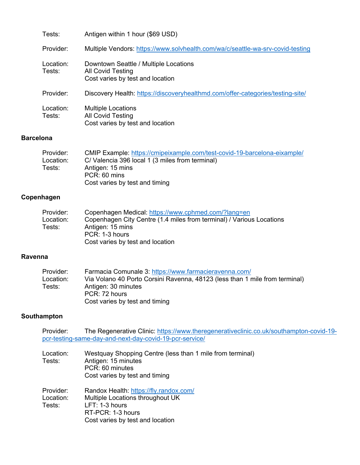| Tests:              | Antigen within 1 hour (\$69 USD)                                                                      |
|---------------------|-------------------------------------------------------------------------------------------------------|
| Provider:           | Multiple Vendors: https://www.solvhealth.com/wa/c/seattle-wa-srv-covid-testing                        |
| Location:<br>Tests: | Downtown Seattle / Multiple Locations<br><b>All Covid Testing</b><br>Cost varies by test and location |
| Provider:           | Discovery Health: https://discoveryhealthmd.com/offer-categories/testing-site/                        |
| Location:<br>Tests: | <b>Multiple Locations</b><br>All Covid Testing<br>Cost varies by test and location                    |

# **Barcelona**

| Provider: | CMIP Example: https://cmipeixample.com/test-covid-19-barcelona-eixample/ |
|-----------|--------------------------------------------------------------------------|
| Location: | C/ Valencia 396 local 1 (3 miles from terminal)                          |
| Tests:    | Antigen: 15 mins                                                         |
|           | PCR: 60 mins                                                             |
|           | Cost varies by test and timing                                           |
|           |                                                                          |

# **Copenhagen**

| Provider: | Copenhagen Medical: https://www.cphmed.com/?lang=en                  |
|-----------|----------------------------------------------------------------------|
| Location: | Copenhagen City Centre (1.4 miles from terminal) / Various Locations |
| Tests:    | Antigen: 15 mins                                                     |
|           | PCR: 1-3 hours                                                       |
|           | Cost varies by test and location                                     |

# **Ravenna**

| Provider: | Farmacia Comunale 3: https://www.farmacieravenna.com/                       |
|-----------|-----------------------------------------------------------------------------|
| Location: | Via Volano 40 Porto Corsini Ravenna, 48123 (less than 1 mile from terminal) |
| Tests:    | Antigen: 30 minutes                                                         |
|           | PCR: 72 hours                                                               |
|           | Cost varies by test and timing                                              |

# **Southampton**

| Provider: |                                                         | The Regenerative Clinic: https://www.theregenerativeclinic.co.uk/southampton-covid-19- |
|-----------|---------------------------------------------------------|----------------------------------------------------------------------------------------|
|           | pcr-testing-same-day-and-next-day-covid-19-pcr-service/ |                                                                                        |

| Location:<br>Tests: | Westquay Shopping Centre (less than 1 mile from terminal)<br>Antigen: 15 minutes<br>PCR: 60 minutes<br>Cost varies by test and timing |
|---------------------|---------------------------------------------------------------------------------------------------------------------------------------|
| Provider:           | Randox Health: https://fly.randox.com/                                                                                                |
| Location:           | Multiple Locations throughout UK                                                                                                      |
| Tests:              | $LFT: 1-3 hours$                                                                                                                      |
|                     | RT-PCR: 1-3 hours                                                                                                                     |
|                     | Cost varies by test and location                                                                                                      |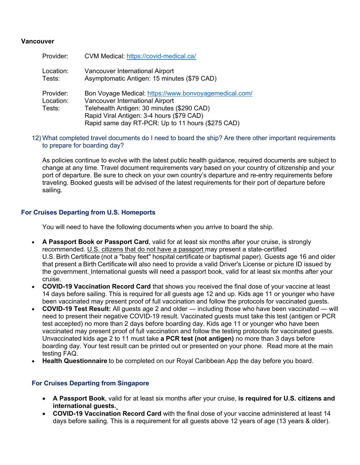# **Vancouver**

| Provider:                        | CVM Medical: https://covid-medical.ca/                                                                                                                                                                                                   |
|----------------------------------|------------------------------------------------------------------------------------------------------------------------------------------------------------------------------------------------------------------------------------------|
| Location:<br>Tests:              | Vancouver International Airport<br>Asymptomatic Antigen: 15 minutes (\$79 CAD)                                                                                                                                                           |
| Provider:<br>Location:<br>Tests: | Bon Voyage Medical: https://www.bonvoyagemedical.com/<br>Vancouver International Airport<br>Telehealth Antigen: 30 minutes (\$290 CAD)<br>Rapid Viral Antigen: 3-4 hours (\$79 CAD)<br>Rapid same day RT-PCR: Up to 11 hours (\$275 CAD) |

12) What completed travel documents do I need to board the ship? Are there other important requirements to prepare for boarding day?

As policies continue to evolve with the latest public health guidance, required documents are subject to change at any time. Travel document requirements vary based on your country of citizenship and your port of departure. Be sure to check on your own country's departure and re-entry requirements before traveling. Booked guests will be advised of the latest requirements for their port of departure before sailing.

# **For Cruises Departing from U.S. Homeports**

You will need to have the following documents when you arrive to board the ship. 

- **A Passport Book or Passport Card**, valid for at least six months after your cruise, is strongly recommended. U.S. citizens that do not have a passport may present a state-certified U.S. Birth Certificate (not a "baby feet" hospital certificate or baptismal paper). Guests age 16 and older that present a Birth Certificate will also need to provide a valid Driver's License or picture ID issued by the government. International guests will need a passport book, valid for at least six months after your cruise.
- **COVID-19 Vaccination Record Card** that shows you received the final dose of your vaccine at least 14 days before sailing. This is required for all guests age 12 and up. Kids age 11 or younger who have been vaccinated may present proof of full vaccination and follow the protocols for vaccinated guests.
- **COVID-19 Test Result:** All guests age 2 and older including those who have been vaccinated will need to present their negative COVID-19 result. Vaccinated guests must take this test (antigen or PCR test accepted) no more than 2 days before boarding day. Kids age 11 or younger who have been vaccinated may present proof of full vaccination and follow the testing protocols for vaccinated guests. Unvaccinated kids age 2 to 11 must take **a PCR test (not antigen)** no more than 3 days before boarding day. Your test result can be printed out or presented on your phone. Read more at the main testing FAQ.
- **Health Questionnaire** to be completed on our Royal Caribbean App the day before you board.

# **For Cruises Departing from Singapore**

- **A Passport Book**, valid for at least six months after your cruise, **is required for U.S. citizens and international guests.**
- **COVID-19 Vaccination Record Card** with the final dose of your vaccine administered at least 14 days before sailing. This is a requirement for all guests above 12 years of age (13 years & older).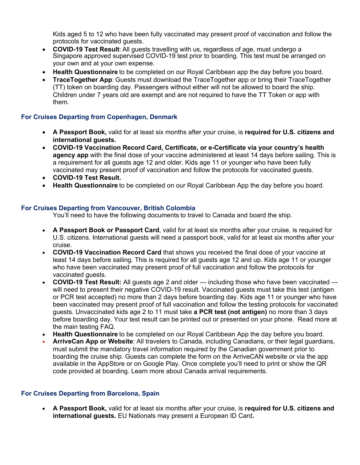Kids aged 5 to 12 who have been fully vaccinated may present proof of vaccination and follow the protocols for vaccinated guests.

- **COVID-19 Test Result**: All guests travelling with us, regardless of age, must undergo a Singapore approved supervised COVID-19 test prior to boarding. This test must be arranged on your own and at your own expense.
- **Health Questionnaire**to be completed on our Royal Caribbean app the day before you board.
- **TraceTogether App**: Guests must download the TraceTogether app or bring their TraceTogether (TT) token on boarding day. Passengers without either will not be allowed to board the ship. Children under 7 years old are exempt and are not required to have the TT Token or app with them.

# **For Cruises Departing from Copenhagen, Denmark**

- **A Passport Book,** valid for at least six months after your cruise, is **required for U.S. citizens and international guests.**
- **COVID-19 Vaccination Record Card, Certificate, or e-Certificate via your country's health agency app** with the final dose of your vaccine administered at least 14 days before sailing. This is a requirement for all guests age 12 and older. Kids age 11 or younger who have been fully vaccinated may present proof of vaccination and follow the protocols for vaccinated guests.
- **COVID-19 Test Result.**
- **Health Questionnaire** to be completed on our Royal Caribbean App the day before you board.

# **For Cruises Departing from Vancouver, British Colombia**

You'll need to have the following documents to travel to Canada and board the ship. 

- **A Passport Book or Passport Card**, valid for at least six months after your cruise, is required for U.S. citizens. International guests will need a passport book, valid for at least six months after your cruise.
- **COVID-19 Vaccination Record Card** that shows you received the final dose of your vaccine at least 14 days before sailing. This is required for all guests age 12 and up. Kids age 11 or younger who have been vaccinated may present proof of full vaccination and follow the protocols for vaccinated guests.
- **COVID-19 Test Result:** All guests age 2 and older including those who have been vaccinated will need to present their negative COVID-19 result. Vaccinated guests must take this test (antigen or PCR test accepted) no more than 2 days before boarding day. Kids age 11 or younger who have been vaccinated may present proof of full vaccination and follow the testing protocols for vaccinated guests. Unvaccinated kids age 2 to 11 must take **a PCR test (not antigen)** no more than 3 days before boarding day. Your test result can be printed out or presented on your phone. Read more at the main testing FAQ.
- **Health Questionnaire** to be completed on our Royal Caribbean App the day before you board.
- **ArriveCan App or Website**: All travelers to Canada, including Canadians, or their legal guardians, must submit the mandatory travel information required by the Canadian government prior to boarding the cruise ship. Guests can complete the form on the ArriveCAN website or via the app available in the AppStore or on Google Play. Once complete you'll need to print or show the QR code provided at boarding. Learn more about Canada arrival requirements.

# **For Cruises Departing from Barcelona, Spain**

• **A Passport Book,** valid for at least six months after your cruise, is **required for U.S. citizens and international guests.** EU Nationals may present a European ID Card**.**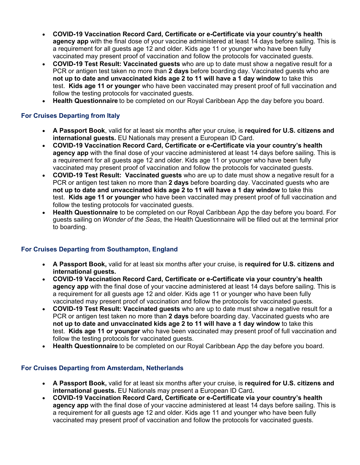- **COVID-19 Vaccination Record Card, Certificate or e-Certificate via your country's health agency app** with the final dose of your vaccine administered at least 14 days before sailing. This is a requirement for all guests age 12 and older. Kids age 11 or younger who have been fully vaccinated may present proof of vaccination and follow the protocols for vaccinated guests.
- **COVID-19 Test Result: Vaccinated guests** who are up to date must show a negative result for a PCR or antigen test taken no more than **2 days** before boarding day. Vaccinated guests who are **not up to date and unvaccinated kids age 2 to 11 will have a 1 day window** to take this test. **Kids age 11 or younger** who have been vaccinated may present proof of full vaccination and follow the testing protocols for vaccinated guests.
- **Health Questionnaire** to be completed on our Royal Caribbean App the day before you board.

# **For Cruises Departing from Italy**

- **A Passport Book**, valid for at least six months after your cruise, is **required for U.S. citizens and international guests.** EU Nationals may present a European ID Card.
- **COVID-19 Vaccination Record Card, Certificate or e-Certificate via your country's health agency app** with the final dose of your vaccine administered at least 14 days before sailing. This is a requirement for all guests age 12 and older. Kids age 11 or younger who have been fully vaccinated may present proof of vaccination and follow the protocols for vaccinated guests.
- **COVID-19 Test Result: Vaccinated guests** who are up to date must show a negative result for a PCR or antigen test taken no more than **2 days** before boarding day. Vaccinated guests who are **not up to date and unvaccinated kids age 2 to 11 will have a 1 day window** to take this test. **Kids age 11 or younger** who have been vaccinated may present proof of full vaccination and follow the testing protocols for vaccinated guests.
- **Health Questionnaire** to be completed on our Royal Caribbean App the day before you board. For guests sailing on *Wonder of the Seas*, the Health Questionnaire will be filled out at the terminal prior to boarding.

# **For Cruises Departing from Southampton, England**

- **A Passport Book,** valid for at least six months after your cruise, is **required for U.S. citizens and international guests.**
- **COVID-19 Vaccination Record Card, Certificate or e-Certificate via your country's health agency app** with the final dose of your vaccine administered at least 14 days before sailing. This is a requirement for all guests age 12 and older. Kids age 11 or younger who have been fully vaccinated may present proof of vaccination and follow the protocols for vaccinated guests.
- **COVID-19 Test Result: Vaccinated guests** who are up to date must show a negative result for a PCR or antigen test taken no more than **2 days** before boarding day. Vaccinated guests who are **not up to date and unvaccinated kids age 2 to 11 will have a 1 day window** to take this test. **Kids age 11 or younger** who have been vaccinated may present proof of full vaccination and follow the testing protocols for vaccinated guests.
- **Health Questionnaire** to be completed on our Royal Caribbean App the day before you board.

# **For Cruises Departing from Amsterdam, Netherlands**

- **A Passport Book,** valid for at least six months after your cruise, is **required for U.S. citizens and international guests.** EU Nationals may present a European ID Card**.**
- **COVID-19 Vaccination Record Card, Certificate or e-Certificate via your country's health agency app** with the final dose of your vaccine administered at least 14 days before sailing. This is a requirement for all guests age 12 and older. Kids age 11 and younger who have been fully vaccinated may present proof of vaccination and follow the protocols for vaccinated guests.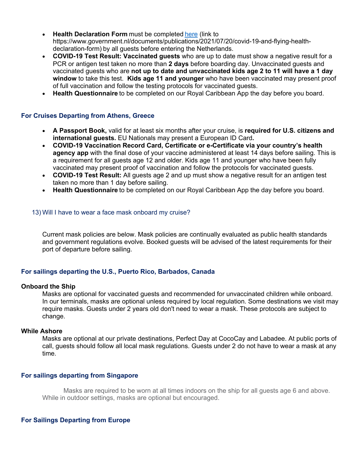- **Health Declaration Form** must be completed here (link to https://www.government.nl/documents/publications/2021/07/20/covid-19-and-flying-healthdeclaration-form) by all guests before entering the Netherlands.
- **COVID-19 Test Result: Vaccinated guests** who are up to date must show a negative result for a PCR or antigen test taken no more than **2 days** before boarding day. Unvaccinated guests and vaccinated guests who are **not up to date and unvaccinated kids age 2 to 11 will have a 1 day window** to take this test. **Kids age 11 and younger** who have been vaccinated may present proof of full vaccination and follow the testing protocols for vaccinated guests.
- **Health Questionnaire** to be completed on our Royal Caribbean App the day before you board.

# **For Cruises Departing from Athens, Greece**

- **A Passport Book,** valid for at least six months after your cruise, is **required for U.S. citizens and international guests.** EU Nationals may present a European ID Card**.**
- **COVID-19 Vaccination Record Card, Certificate or e-Certificate via your country's health agency app** with the final dose of your vaccine administered at least 14 days before sailing. This is a requirement for all guests age 12 and older. Kids age 11 and younger who have been fully vaccinated may present proof of vaccination and follow the protocols for vaccinated guests.
- **COVID-19 Test Result:** All guests age 2 and up must show a negative result for an antigen test taken no more than 1 day before sailing.
- **Health Questionnaire** to be completed on our Royal Caribbean App the day before you board.

#### 13) Will I have to wear a face mask onboard my cruise?

Current mask policies are below. Mask policies are continually evaluated as public health standards and government regulations evolve. Booked guests will be advised of the latest requirements for their port of departure before sailing.

## **For sailings departing the U.S., Puerto Rico, Barbados, Canada**

#### **Onboard the Ship**

Masks are optional for vaccinated guests and recommended for unvaccinated children while onboard. In our terminals, masks are optional unless required by local regulation. Some destinations we visit may require masks. Guests under 2 years old don't need to wear a mask. These protocols are subject to change.

#### **While Ashore**

Masks are optional at our private destinations, Perfect Day at CocoCay and Labadee. At public ports of call, guests should follow all local mask regulations. Guests under 2 do not have to wear a mask at any time.

## **For sailings departing from Singapore**

Masks are required to be worn at all times indoors on the ship for all guests age 6 and above. While in outdoor settings, masks are optional but encouraged.

## **For Sailings Departing from Europe**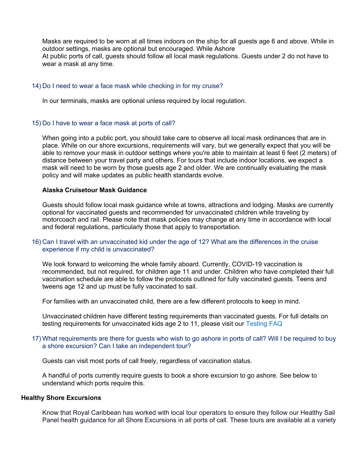Masks are required to be worn at all times indoors on the ship for all guests age 6 and above. While in outdoor settings, masks are optional but encouraged. While Ashore At public ports of call, guests should follow all local mask regulations. Guests under 2 do not have to wear a mask at any time.

#### 14) Do I need to wear a face mask while checking in for my cruise?

In our terminals, masks are optional unless required by local regulation.

## 15) Do I have to wear a face mask at ports of call?

When going into a public port, you should take care to observe all local mask ordinances that are in place. While on our shore excursions, requirements will vary, but we generally expect that you will be able to remove your mask in outdoor settings where you're able to maintain at least 6 feet (2 meters) of distance between your travel party and others. For tours that include indoor locations, we expect a mask will need to be worn by those guests age 2 and older. We are continually evaluating the mask policy and will make updates as public health standards evolve.

## **Alaska Cruisetour Mask Guidance**

Guests should follow local mask guidance while at towns, attractions and lodging. Masks are currently optional for vaccinated guests and recommended for unvaccinated children while traveling by motorcoach and rail. Please note that mask policies may change at any time in accordance with local and federal regulations, particularly those that apply to transportation.

## 16) Can I travel with an unvaccinated kid under the age of 12? What are the differences in the cruise experience if my child is unvaccinated?

We look forward to welcoming the whole family aboard. Currently, COVID-19 vaccination is recommended, but not required, for children age 11 and under. Children who have completed their full vaccination schedule are able to follow the protocols outlined for fully vaccinated guests. Teens and tweens age 12 and up must be fully vaccinated to sail.

For families with an unvaccinated child, there are a few different protocols to keep in mind.

Unvaccinated children have different testing requirements than vaccinated guests. For full details on testing requirements for unvaccinated kids age 2 to 11, please visit our Testing FAQ

## 17) What requirements are there for guests who wish to go ashore in ports of call? Will I be required to buy a shore excursion? Can I take an independent tour?

Guests can visit most ports of call freely, regardless of vaccination status.

A handful of ports currently require guests to book a shore excursion to go ashore. See below to understand which ports require this.

#### **Healthy Shore Excursions**

Know that Royal Caribbean has worked with local tour operators to ensure they follow our Healthy Sail Panel health guidance for all Shore Excursions in all ports of call. These tours are available at a variety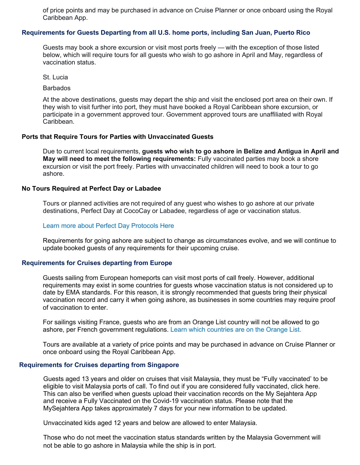of price points and may be purchased in advance on Cruise Planner or once onboard using the Royal Caribbean App.

## **Requirements for Guests Departing from all U.S. home ports, including San Juan, Puerto Rico**

Guests may book a shore excursion or visit most ports freely — with the exception of those listed below, which will require tours for all guests who wish to go ashore in April and May, regardless of vaccination status.

St. Lucia

**Barbados** 

At the above destinations, guests may depart the ship and visit the enclosed port area on their own. If they wish to visit further into port, they must have booked a Royal Caribbean shore excursion, or participate in a government approved tour. Government approved tours are unaffiliated with Royal Caribbean.

#### **Ports that Require Tours for Parties with Unvaccinated Guests**

Due to current local requirements, **guests who wish to go ashore in Belize and Antigua in April and May will need to meet the following requirements:** Fully vaccinated parties may book a shore excursion or visit the port freely. Parties with unvaccinated children will need to book a tour to go ashore.

#### **No Tours Required at Perfect Day or Labadee**

Tours or planned activities are not required of any guest who wishes to go ashore at our private destinations, Perfect Day at CocoCay or Labadee, regardless of age or vaccination status.

#### Learn more about Perfect Day Protocols Here

Requirements for going ashore are subject to change as circumstances evolve, and we will continue to update booked guests of any requirements for their upcoming cruise.

## **Requirements for Cruises departing from Europe**

Guests sailing from European homeports can visit most ports of call freely. However, additional requirements may exist in some countries for guests whose vaccination status is not considered up to date by EMA standards. For this reason, it is strongly recommended that guests bring their physical vaccination record and carry it when going ashore, as businesses in some countries may require proof of vaccination to enter.

For sailings visiting France, guests who are from an Orange List country will not be allowed to go ashore, per French government regulations. Learn which countries are on the Orange List.

Tours are available at a variety of price points and may be purchased in advance on Cruise Planner or once onboard using the Royal Caribbean App.

#### **Requirements for Cruises departing from Singapore**

Guests aged 13 years and older on cruises that visit Malaysia, they must be "Fully vaccinated' to be eligible to visit Malaysia ports of call. To find out if you are considered fully vaccinated, click here. This can also be verified when guests upload their vaccination records on the My Sejahtera App and receive a Fully Vaccinated on the Covid-19 vaccination status. Please note that the MySejahtera App takes approximately 7 days for your new information to be updated.

Unvaccinated kids aged 12 years and below are allowed to enter Malaysia.

Those who do not meet the vaccination status standards written by the Malaysia Government will not be able to go ashore in Malaysia while the ship is in port.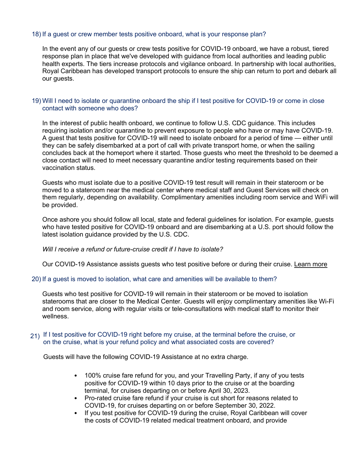# 18) If a guest or crew member tests positive onboard, what is your response plan?

In the event any of our guests or crew tests positive for COVID-19 onboard, we have a robust, tiered response plan in place that we've developed with guidance from local authorities and leading public health experts. The tiers increase protocols and vigilance onboard. In partnership with local authorities, Royal Caribbean has developed transport protocols to ensure the ship can return to port and debark all our guests.

## 19) Will I need to isolate or quarantine onboard the ship if I test positive for COVID-19 or come in close contact with someone who does?

In the interest of public health onboard, we continue to follow U.S. CDC guidance. This includes requiring isolation and/or quarantine to prevent exposure to people who have or may have COVID-19. A guest that tests positive for COVID-19 will need to isolate onboard for a period of time — either until they can be safely disembarked at a port of call with private transport home, or when the sailing concludes back at the homeport where it started. Those guests who meet the threshold to be deemed a close contact will need to meet necessary quarantine and/or testing requirements based on their vaccination status.

Guests who must isolate due to a positive COVID-19 test result will remain in their stateroom or be moved to a stateroom near the medical center where medical staff and Guest Services will check on them regularly, depending on availability. Complimentary amenities including room service and WiFi will be provided.

Once ashore you should follow all local, state and federal guidelines for isolation. For example, guests who have tested positive for COVID-19 onboard and are disembarking at a U.S. port should follow the latest isolation guidance provided by the U.S. CDC.

## *Will I receive a refund or future-cruise credit if I have to isolate?*

Our COVID-19 Assistance assists guests who test positive before or during their cruise. Learn more

# 20) If a guest is moved to isolation, what care and amenities will be available to them?

Guests who test positive for COVID-19 will remain in their stateroom or be moved to isolation staterooms that are closer to the Medical Center. Guests will enjoy complimentary amenities like Wi-Fi and room service, along with regular visits or tele-consultations with medical staff to monitor their wellness.

# 21) If I test positive for COVID-19 right before my cruise, at the terminal before the cruise, or on the cruise, what is your refund policy and what associated costs are covered?

Guests will have the following COVID-19 Assistance at no extra charge.

- 100% cruise fare refund for you, and your Travelling Party, if any of you tests positive for COVID-19 within 10 days prior to the cruise or at the boarding terminal, for cruises departing on or before April 30, 2023.
- Pro-rated cruise fare refund if your cruise is cut short for reasons related to COVID-19, for cruises departing on or before September 30, 2022.
- If you test positive for COVID-19 during the cruise, Royal Caribbean will cover the costs of COVID-19 related medical treatment onboard, and provide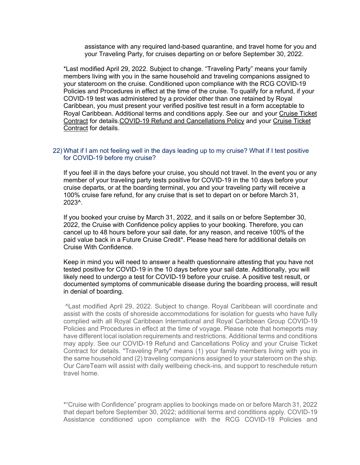assistance with any required land-based quarantine, and travel home for you and your Traveling Party, for cruises departing on or before September 30, 2022.

\*Last modified April 29, 2022. Subject to change. "Traveling Party" means your family members living with you in the same household and traveling companions assigned to your stateroom on the cruise. Conditioned upon compliance with the RCG COVID-19 Policies and Procedures in effect at the time of the cruise. To qualify for a refund, if your COVID-19 test was administered by a provider other than one retained by Royal Caribbean, you must present your verified positive test result in a form acceptable to Royal Caribbean. Additional terms and conditions apply. See our and your Cruise Ticket Contract for details.COVID-19 Refund and Cancellations Policy and your Cruise Ticket Contract for details.

## 22) What if I am not feeling well in the days leading up to my cruise? What if I test positive for COVID-19 before my cruise?

If you feel ill in the days before your cruise, you should not travel. In the event you or any member of your traveling party tests positive for COVID-19 in the 10 days before your cruise departs, or at the boarding terminal, you and your traveling party will receive a 100% cruise fare refund, for any cruise that is set to depart on or before March 31, 2023^.

If you booked your cruise by March 31, 2022, and it sails on or before September 30, 2022, the Cruise with Confidence policy applies to your booking. Therefore, you can cancel up to 48 hours before your sail date, for any reason, and receive 100% of the paid value back in a Future Cruise Credit\*. Please head here for additional details on Cruise With Confidence.

Keep in mind you will need to answer a health questionnaire attesting that you have not tested positive for COVID-19 in the 10 days before your sail date. Additionally, you will likely need to undergo a test for COVID-19 before your cruise. A positive test result, or documented symptoms of communicable disease during the boarding process, will result in denial of boarding.

^Last modified April 29, 2022. Subject to change. Royal Caribbean will coordinate and assist with the costs of shoreside accommodations for isolation for guests who have fully complied with all Royal Caribbean International and Royal Caribbean Group COVID-19 Policies and Procedures in effect at the time of voyage. Please note that homeports may have different local isolation requirements and restrictions. Additional terms and conditions may apply. See our COVID-19 Refund and Cancellations Policy and your Cruise Ticket Contract for details. "Traveling Party" means (1) your family members living with you in the same household and (2) traveling companions assigned to your stateroom on the ship. Our CareTeam will assist with daily wellbeing check-ins, and support to reschedule return travel home.

\*"Cruise with Confidence" program applies to bookings made on or before March 31, 2022 that depart before September 30, 2022; additional terms and conditions apply. COVID-19 Assistance conditioned upon compliance with the RCG COVID-19 Policies and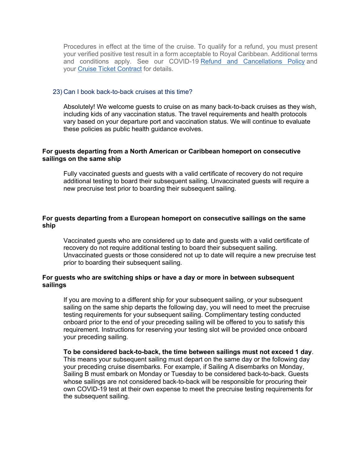Procedures in effect at the time of the cruise. To qualify for a refund, you must present your verified positive test result in a form acceptable to Royal Caribbean. Additional terms and conditions apply. See our COVID-19 Refund and Cancellations Policy and your Cruise Ticket Contract for details.

#### 23) Can I book back-to-back cruises at this time?

Absolutely! We welcome guests to cruise on as many back-to-back cruises as they wish, including kids of any vaccination status. The travel requirements and health protocols vary based on your departure port and vaccination status. We will continue to evaluate these policies as public health guidance evolves.

## **For guests departing from a North American or Caribbean homeport on consecutive sailings on the same ship**

Fully vaccinated guests and guests with a valid certificate of recovery do not require additional testing to board their subsequent sailing. Unvaccinated guests will require a new precruise test prior to boarding their subsequent sailing.

## **For guests departing from a European homeport on consecutive sailings on the same ship**

Vaccinated guests who are considered up to date and guests with a valid certificate of recovery do not require additional testing to board their subsequent sailing. Unvaccinated guests or those considered not up to date will require a new precruise test prior to boarding their subsequent sailing.

# **For guests who are switching ships or have a day or more in between subsequent sailings**

If you are moving to a different ship for your subsequent sailing, or your subsequent sailing on the same ship departs the following day, you will need to meet the precruise testing requirements for your subsequent sailing. Complimentary testing conducted onboard prior to the end of your preceding sailing will be offered to you to satisfy this requirement. Instructions for reserving your testing slot will be provided once onboard your preceding sailing.

**To be considered back-to-back, the time between sailings must not exceed 1 day**. This means your subsequent sailing must depart on the same day or the following day your preceding cruise disembarks. For example, if Sailing A disembarks on Monday, Sailing B must embark on Monday or Tuesday to be considered back-to-back. Guests whose sailings are not considered back-to-back will be responsible for procuring their own COVID-19 test at their own expense to meet the precruise testing requirements for the subsequent sailing.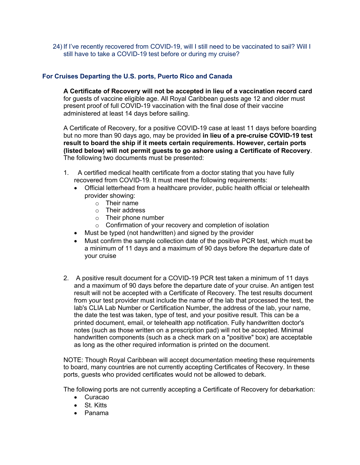24) If I've recently recovered from COVID-19, will I still need to be vaccinated to sail? Will I still have to take a COVID-19 test before or during my cruise?

# **For Cruises Departing the U.S. ports, Puerto Rico and Canada**

**A Certificate of Recovery will not be accepted in lieu of a vaccination record card** for guests of vaccine eligible age. All Royal Caribbean guests age 12 and older must present proof of full COVID-19 vaccination with the final dose of their vaccine administered at least 14 days before sailing.

A Certificate of Recovery, for a positive COVID-19 case at least 11 days before boarding but no more than 90 days ago, may be provided **in lieu of a pre-cruise COVID-19 test result to board the ship if it meets certain requirements. However, certain ports (listed below) will not permit guests to go ashore using a Certificate of Recovery**. The following two documents must be presented:

- 1. A certified medical health certificate from a doctor stating that you have fully recovered from COVID-19. It must meet the following requirements:
	- Official letterhead from a healthcare provider, public health official or telehealth provider showing:
		- o Their name
		- o Their address
		- o Their phone number
		- $\circ$  Confirmation of your recovery and completion of isolation
	- Must be typed (not handwritten) and signed by the provider
	- Must confirm the sample collection date of the positive PCR test, which must be a minimum of 11 days and a maximum of 90 days before the departure date of your cruise
- 2. A positive result document for a COVID-19 PCR test taken a minimum of 11 days and a maximum of 90 days before the departure date of your cruise. An antigen test result will not be accepted with a Certificate of Recovery. The test results document from your test provider must include the name of the lab that processed the test, the lab's CLIA Lab Number or Certification Number, the address of the lab, your name, the date the test was taken, type of test, and your positive result. This can be a printed document, email, or telehealth app notification. Fully handwritten doctor's notes (such as those written on a prescription pad) will not be accepted. Minimal handwritten components (such as a check mark on a "positive" box) are acceptable as long as the other required information is printed on the document.

NOTE: Though Royal Caribbean will accept documentation meeting these requirements to board, many countries are not currently accepting Certificates of Recovery. In these ports, guests who provided certificates would not be allowed to debark.

The following ports are not currently accepting a Certificate of Recovery for debarkation:

- Curacao
- St. Kitts
- Panama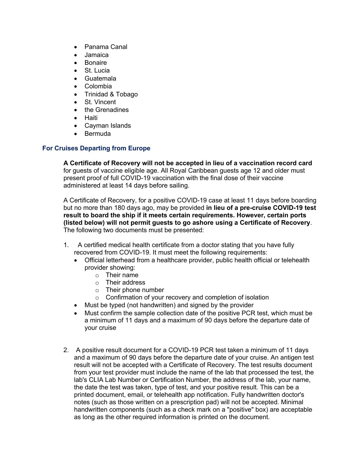- Panama Canal
- Jamaica
- Bonaire
- St. Lucia
- Guatemala
- Colombia
- Trinidad & Tobago
- St. Vincent
- the Grenadines
- Haiti
- Cayman Islands
- Bermuda

# **For Cruises Departing from Europe**

**A Certificate of Recovery will not be accepted in lieu of a vaccination record card** for guests of vaccine eligible age. All Royal Caribbean guests age 12 and older must present proof of full COVID-19 vaccination with the final dose of their vaccine administered at least 14 days before sailing.

A Certificate of Recovery, for a positive COVID-19 case at least 11 days before boarding but no more than 180 days ago, may be provided **in lieu of a pre-cruise COVID-19 test result to board the ship if it meets certain requirements. However, certain ports (listed below) will not permit guests to go ashore using a Certificate of Recovery**. The following two documents must be presented:

- 1. A certified medical health certificate from a doctor stating that you have fully recovered from COVID-19. It must meet the following requirements:
	- Official letterhead from a healthcare provider, public health official or telehealth provider showing:
		- o Their name
		- o Their address
		- o Their phone number
		- o Confirmation of your recovery and completion of isolation
	- Must be typed (not handwritten) and signed by the provider
	- Must confirm the sample collection date of the positive PCR test, which must be a minimum of 11 days and a maximum of 90 days before the departure date of your cruise
- 2. A positive result document for a COVID-19 PCR test taken a minimum of 11 days and a maximum of 90 days before the departure date of your cruise. An antigen test result will not be accepted with a Certificate of Recovery. The test results document from your test provider must include the name of the lab that processed the test, the lab's CLIA Lab Number or Certification Number, the address of the lab, your name, the date the test was taken, type of test, and your positive result. This can be a printed document, email, or telehealth app notification. Fully handwritten doctor's notes (such as those written on a prescription pad) will not be accepted. Minimal handwritten components (such as a check mark on a "positive" box) are acceptable as long as the other required information is printed on the document.